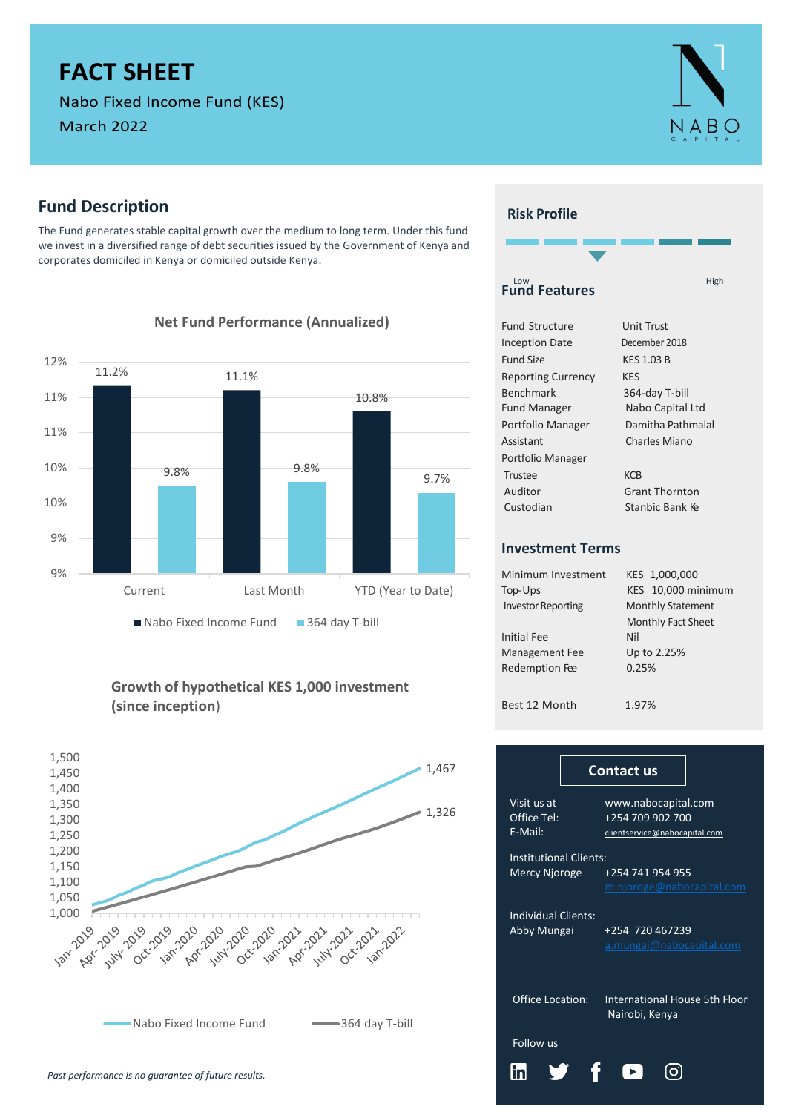# **FACT SHEET**

Nabo Fixed Income Fund (KES)

March 2022

# **Fund Description**

The Fund generates stable capital growth over the medium to long term. Under this fund we invest in a diversified range of debt securities issued by the Government of Kenya and corporates domiciled in Kenya or domiciled outside Kenya.



#### **Net Fund Performance (Annualized)**

### **Growth of hypothetical KES 1,000 investment (since inception**)



## **Risk Profile**



| <b>Fund Structure</b>     | Unit Trust            |
|---------------------------|-----------------------|
| <b>Inception Date</b>     | December 2018         |
| Fund Size                 | <b>KES 1.03 B</b>     |
| <b>Reporting Currency</b> | KES                   |
| <b>Benchmark</b>          | 364-day T-bill        |
| <b>Fund Manager</b>       | Nabo Capital Ltd      |
| Portfolio Manager         | Damitha Pathmalal     |
| Assistant                 | Charles Miano         |
| Portfolio Manager         |                       |
| Trustee                   | <b>KCB</b>            |
| Auditor                   | <b>Grant Thornton</b> |
| Custodian                 | Stanbic Bank Ke       |
|                           |                       |

#### **Investment Terms**

| Minimum Investment<br>Top-Ups | KES 1,000,000<br>KES 10,000 minimum |
|-------------------------------|-------------------------------------|
| <b>Investor Reporting</b>     | <b>Monthly Statement</b>            |
|                               | <b>Monthly Fact Sheet</b>           |
| <b>Initial Fee</b>            | Nil                                 |
| <b>Management Fee</b>         | Up to 2.25%                         |
| Redemption Fee                | 0.25%                               |
|                               |                                     |
| Best 12 Month                 | 1.97%                               |

| 1,467 |                                           | <b>Contact us</b>                                                        |  |  |  |  |  |  |  |  |
|-------|-------------------------------------------|--------------------------------------------------------------------------|--|--|--|--|--|--|--|--|
| 1,326 | Visit us at<br>Office Tel:<br>E-Mail:     | www.nabocapital.com<br>+254 709 902 700<br>clientservice@nabocapital.com |  |  |  |  |  |  |  |  |
|       |                                           | <b>Institutional Clients:</b>                                            |  |  |  |  |  |  |  |  |
|       | Mercy Njoroge                             | +254 741 954 955<br>m.njoroge@nabocapital.com                            |  |  |  |  |  |  |  |  |
|       | <b>Individual Clients:</b><br>Abby Mungai | +254 720 467239<br>a.mungai@nabocapital.com                              |  |  |  |  |  |  |  |  |
|       | <b>Office Location:</b>                   | International House 5th Floor<br>Nairobi, Kenya                          |  |  |  |  |  |  |  |  |
|       | Follow us                                 |                                                                          |  |  |  |  |  |  |  |  |
|       |                                           |                                                                          |  |  |  |  |  |  |  |  |